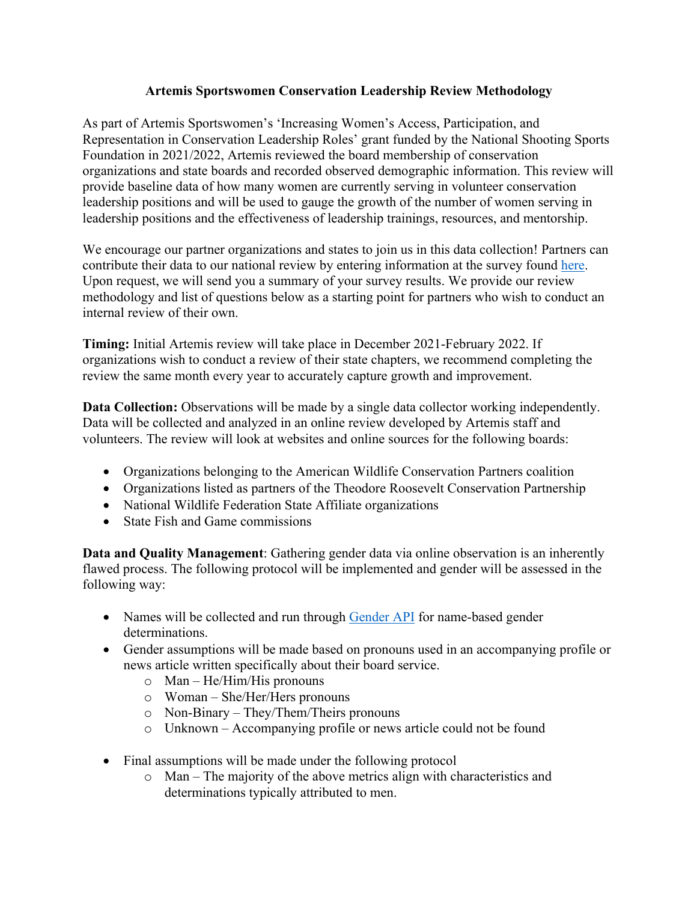## **Artemis Sportswomen Conservation Leadership Review Methodology**

As part of Artemis Sportswomen's 'Increasing Women's Access, Participation, and Representation in Conservation Leadership Roles' grant funded by the National Shooting Sports Foundation in 2021/2022, Artemis reviewed the board membership of conservation organizations and state boards and recorded observed demographic information. This review will provide baseline data of how many women are currently serving in volunteer conservation leadership positions and will be used to gauge the growth of the number of women serving in leadership positions and the effectiveness of leadership trainings, resources, and mentorship.

We encourage our partner organizations and states to join us in this data collection! Partners can contribute their data to our national review by entering information at the survey found here. Upon request, we will send you a summary of your survey results. We provide our review methodology and list of questions below as a starting point for partners who wish to conduct an internal review of their own.

**Timing:** Initial Artemis review will take place in December 2021-February 2022. If organizations wish to conduct a review of their state chapters, we recommend completing the review the same month every year to accurately capture growth and improvement.

**Data Collection:** Observations will be made by a single data collector working independently. Data will be collected and analyzed in an online review developed by Artemis staff and volunteers. The review will look at websites and online sources for the following boards:

- Organizations belonging to the American Wildlife Conservation Partners coalition
- Organizations listed as partners of the Theodore Roosevelt Conservation Partnership
- National Wildlife Federation State Affiliate organizations
- State Fish and Game commissions

**Data and Quality Management**: Gathering gender data via online observation is an inherently flawed process. The following protocol will be implemented and gender will be assessed in the following way:

- Names will be collected and run through Gender API for name-based gender determinations.
- Gender assumptions will be made based on pronouns used in an accompanying profile or news article written specifically about their board service.
	- o Man He/Him/His pronouns
	- o Woman She/Her/Hers pronouns
	- o Non-Binary They/Them/Theirs pronouns
	- o Unknown Accompanying profile or news article could not be found
- Final assumptions will be made under the following protocol
	- o Man The majority of the above metrics align with characteristics and determinations typically attributed to men.